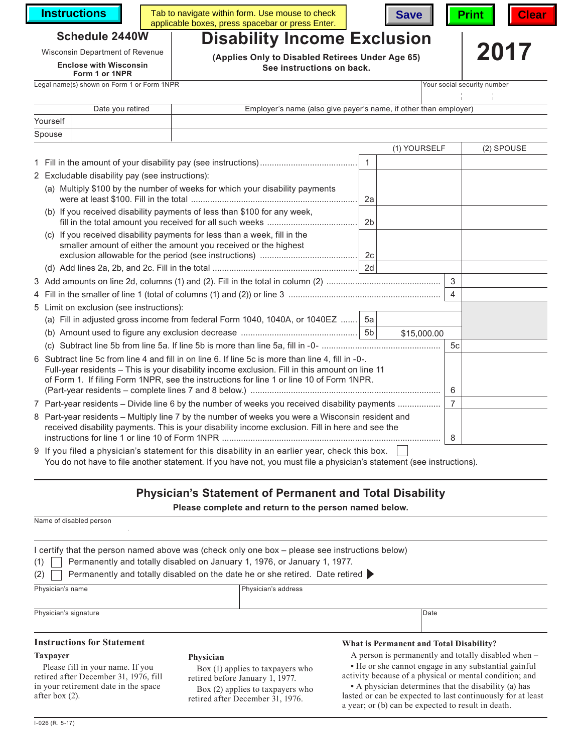**Instructions** Tab

| Tab to navigate within form. Use mouse to check  | Save   Print   Clear |  |  |  |
|--------------------------------------------------|----------------------|--|--|--|
| applicable boxes, press spacebar or press Enter. |                      |  |  |  |



lasted or can be expected to last continuously for at least

a year; or (b) can be expected to result in death.



# **Schedule 2440W**

**Enclose with Wisconsin**

### **Form 1 or 1NPR**

Legal name(s) shown on Form 1 or Form 1NPR Your social security number

Wisconsin Department of Revenue **2018**<br>**Enclose with Wisconsin** (Applies Only to Disabled Retirees Under Age 65) **2017 See instructions on back.**

**Disability Income Exclusion**

|          | Date you retired | Employer's name (also give payer's name, if other than employer) |
|----------|------------------|------------------------------------------------------------------|
| Yourself |                  |                                                                  |
| Spouse   |                  |                                                                  |

|                                                                                                                                                                                                                                                                                                  |                                                                                                                                                                                                      |                | (1) YOURSELF |                | (2) SPOUSE |
|--------------------------------------------------------------------------------------------------------------------------------------------------------------------------------------------------------------------------------------------------------------------------------------------------|------------------------------------------------------------------------------------------------------------------------------------------------------------------------------------------------------|----------------|--------------|----------------|------------|
|                                                                                                                                                                                                                                                                                                  |                                                                                                                                                                                                      |                |              |                |            |
|                                                                                                                                                                                                                                                                                                  | 2 Excludable disability pay (see instructions):                                                                                                                                                      |                |              |                |            |
|                                                                                                                                                                                                                                                                                                  | (a) Multiply \$100 by the number of weeks for which your disability payments                                                                                                                         | 2a             |              |                |            |
|                                                                                                                                                                                                                                                                                                  | (b) If you received disability payments of less than \$100 for any week,                                                                                                                             | 2 <sub>b</sub> |              |                |            |
|                                                                                                                                                                                                                                                                                                  | (c) If you received disability payments for less than a week, fill in the<br>smaller amount of either the amount you received or the highest                                                         |                |              |                |            |
|                                                                                                                                                                                                                                                                                                  |                                                                                                                                                                                                      |                |              |                |            |
|                                                                                                                                                                                                                                                                                                  |                                                                                                                                                                                                      |                |              | 3              |            |
|                                                                                                                                                                                                                                                                                                  |                                                                                                                                                                                                      |                |              | $\overline{4}$ |            |
|                                                                                                                                                                                                                                                                                                  | 5 Limit on exclusion (see instructions):                                                                                                                                                             |                |              |                |            |
|                                                                                                                                                                                                                                                                                                  | (a) Fill in adjusted gross income from federal Form 1040, 1040A, or 1040EZ  5a                                                                                                                       |                |              |                |            |
|                                                                                                                                                                                                                                                                                                  |                                                                                                                                                                                                      |                | \$15,000.00  |                |            |
|                                                                                                                                                                                                                                                                                                  | (C)                                                                                                                                                                                                  |                |              | 5c             |            |
| 6 Subtract line 5c from line 4 and fill in on line 6. If line 5c is more than line 4, fill in -0-.<br>Full-year residents - This is your disability income exclusion. Fill in this amount on line 11<br>of Form 1. If filing Form 1NPR, see the instructions for line 1 or line 10 of Form 1NPR. |                                                                                                                                                                                                      |                |              | 6              |            |
| 7 Part-year residents – Divide line 6 by the number of weeks you received disability payments                                                                                                                                                                                                    |                                                                                                                                                                                                      |                |              | $\overline{7}$ |            |
|                                                                                                                                                                                                                                                                                                  | 8 Part-year residents - Multiply line 7 by the number of weeks you were a Wisconsin resident and<br>received disability payments. This is your disability income exclusion. Fill in here and see the |                |              | 8              |            |
|                                                                                                                                                                                                                                                                                                  | 9 If you filed a physician's statement for this disability in an earlier year, check this box.                                                                                                       |                |              |                |            |

You do not have to file another statement. If you have not, you must file a physician's statement (see instructions).

retired after December 31, 1976.

## **Physician's Statement of Permanent and Total Disability**

**Please complete and return to the person named below.**

| Name of disabled person                                                                                                              |                                                                                                                                                                                                                                                              |                                                                                                                                                                                                                                |  |  |
|--------------------------------------------------------------------------------------------------------------------------------------|--------------------------------------------------------------------------------------------------------------------------------------------------------------------------------------------------------------------------------------------------------------|--------------------------------------------------------------------------------------------------------------------------------------------------------------------------------------------------------------------------------|--|--|
| (1)<br>(2)                                                                                                                           | l certify that the person named above was (check only one box – please see instructions below)<br>Permanently and totally disabled on January 1, 1976, or January 1, 1977.<br>Permanently and totally disabled on the date he or she retired. Date retired > |                                                                                                                                                                                                                                |  |  |
| Physician's name                                                                                                                     | Physician's address                                                                                                                                                                                                                                          |                                                                                                                                                                                                                                |  |  |
| Physician's signature                                                                                                                |                                                                                                                                                                                                                                                              | Date                                                                                                                                                                                                                           |  |  |
| <b>Instructions for Statement</b>                                                                                                    |                                                                                                                                                                                                                                                              | What is Permanent and Total Disability?                                                                                                                                                                                        |  |  |
| <b>Taxpayer</b><br>Please fill in your name. If you<br>retired after December 31, 1976, fill<br>in your retirement date in the space | Physician<br>Box (1) applies to taxpayers who<br>retired before January 1, 1977.<br>Box (2) applies to taxpayers who                                                                                                                                         | A person is permanently and totally disabled when –<br>• He or she cannot engage in any substantial gainful<br>activity because of a physical or mental condition; and<br>• A physician determines that the disability (a) has |  |  |

after box (2).